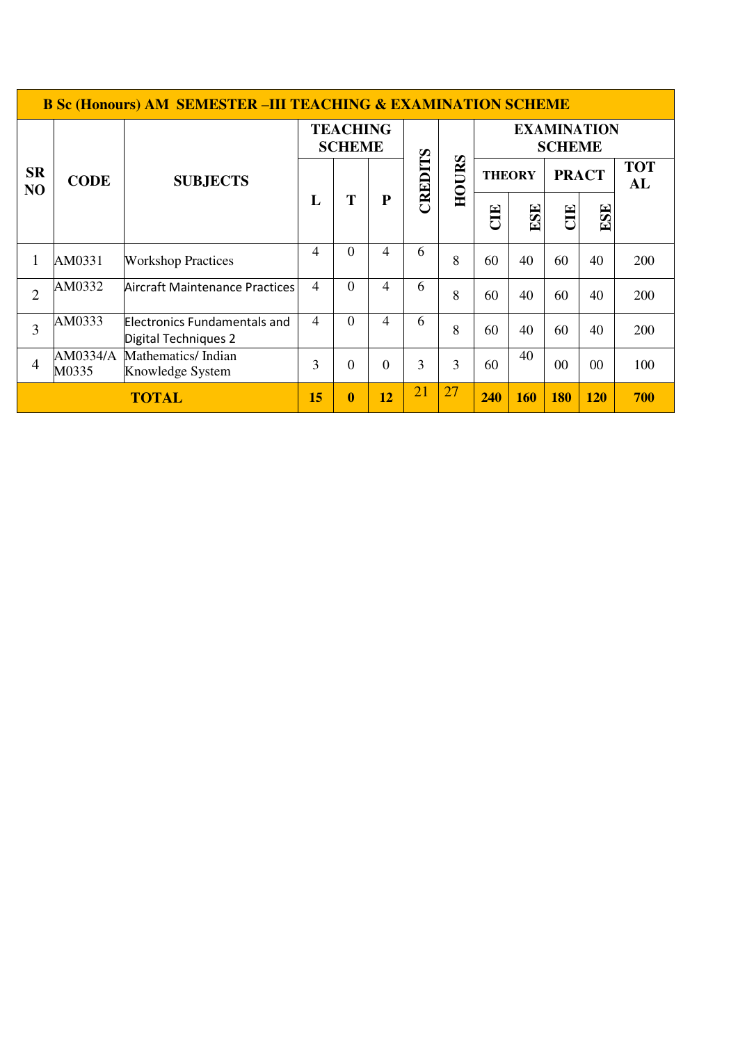|                             | <b>B Sc (Honours) AM SEMESTER - III TEACHING &amp; EXAMINATION SCHEME</b> |                                                      |                                  |                |           |         |              |                                     |     |                |            |                  |
|-----------------------------|---------------------------------------------------------------------------|------------------------------------------------------|----------------------------------|----------------|-----------|---------|--------------|-------------------------------------|-----|----------------|------------|------------------|
| <b>SR</b><br>N <sub>O</sub> | <b>CODE</b>                                                               | <b>SUBJECTS</b>                                      | <b>TEACHING</b><br><b>SCHEME</b> |                |           |         |              | <b>EXAMINATION</b><br><b>SCHEME</b> |     |                |            |                  |
|                             |                                                                           |                                                      | L                                | T              | ${\bf P}$ | CREDITS | <b>HOURS</b> | <b>THEORY</b>                       |     | <b>PRACT</b>   |            | <b>TOT</b><br>AL |
|                             |                                                                           |                                                      |                                  |                |           |         |              | E                                   | ESE | E              | ESE        |                  |
| 1                           | AM0331                                                                    | <b>Workshop Practices</b>                            | 4                                | $\Omega$       | 4         | 6       | 8            | 60                                  | 40  | 60             | 40         | 200              |
| $\overline{2}$              | AM0332                                                                    | Aircraft Maintenance Practices                       | 4                                | $\overline{0}$ | 4         | 6       | 8            | 60                                  | 40  | 60             | 40         | 200              |
| $\overline{3}$              | AM0333                                                                    | Electronics Fundamentals and<br>Digital Techniques 2 | $\overline{4}$                   | $\theta$       | 4         | 6       | 8            | 60                                  | 40  | 60             | 40         | 200              |
| $\overline{4}$              | AM0334/A<br>M0335                                                         | Mathematics/Indian<br>Knowledge System               |                                  | $\theta$       | $\theta$  | 3       | 3            | 60                                  | 40  | 0 <sup>0</sup> | $00\,$     | 100              |
| <b>TOTAL</b>                |                                                                           |                                                      |                                  | $\bf{0}$       | 12        | 21      | 27           | 240                                 | 160 | <b>180</b>     | <b>120</b> | 700              |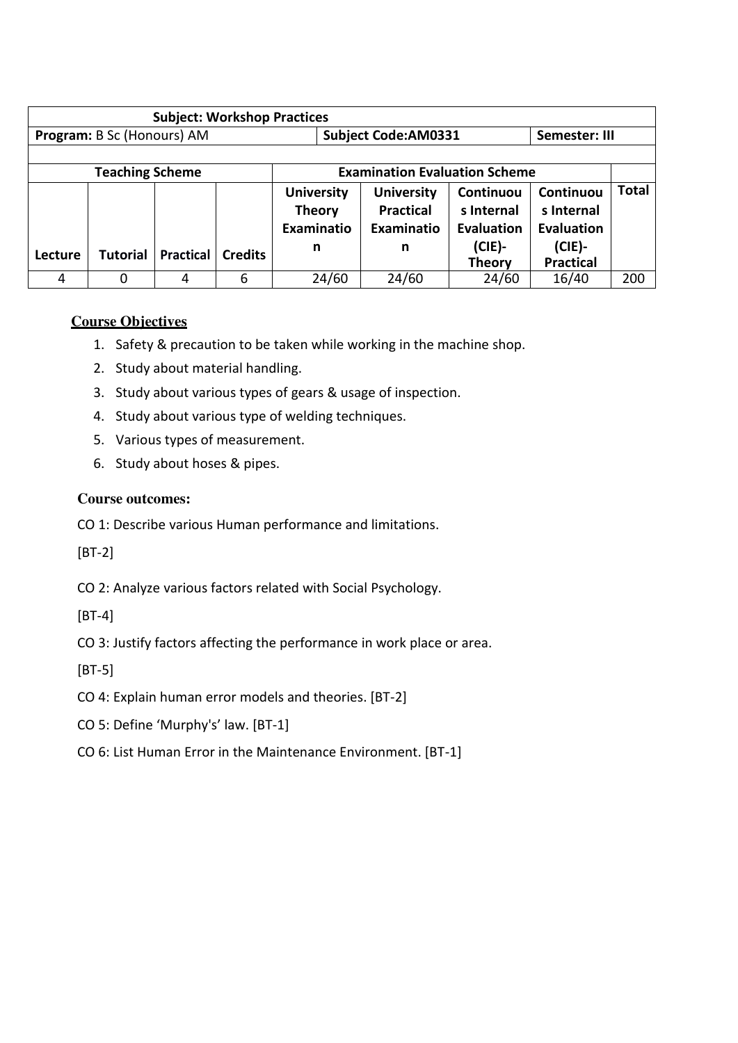| <b>Subject: Workshop Practices</b> |                        |                  |                |                   |                                             |               |                   |              |
|------------------------------------|------------------------|------------------|----------------|-------------------|---------------------------------------------|---------------|-------------------|--------------|
| Program: B Sc (Honours) AM         |                        |                  |                |                   | <b>Subject Code:AM0331</b><br>Semester: III |               |                   |              |
|                                    |                        |                  |                |                   |                                             |               |                   |              |
|                                    | <b>Teaching Scheme</b> |                  |                |                   | <b>Examination Evaluation Scheme</b>        |               |                   |              |
|                                    |                        |                  |                | <b>University</b> | <b>University</b>                           | Continuou     | Continuou         | <b>Total</b> |
|                                    |                        |                  |                | <b>Theory</b>     | <b>Practical</b>                            | s Internal    | s Internal        |              |
|                                    |                        |                  |                | Examinatio        | Examinatio                                  | Evaluation    | <b>Evaluation</b> |              |
|                                    | <b>Tutorial</b>        | <b>Practical</b> | <b>Credits</b> | n                 | n                                           | $(CIE)$ -     | $(CIE)$ -         |              |
| Lecture                            |                        |                  |                |                   |                                             | <b>Theory</b> | <b>Practical</b>  |              |
| 4                                  | 0                      | 4                | 6              | 24/60             | 24/60                                       | 24/60         | 16/40             | 200          |

### **Course Objectives**

- 1. Safety & precaution to be taken while working in the machine shop.
- 2. Study about material handling.
- 3. Study about various types of gears & usage of inspection.
- 4. Study about various type of welding techniques.
- 5. Various types of measurement.
- 6. Study about hoses & pipes.

### **Course outcomes:**

CO 1: Describe various Human performance and limitations.

[BT-2]

CO 2: Analyze various factors related with Social Psychology.

[BT-4]

CO 3: Justify factors affecting the performance in work place or area.

[BT-5]

- CO 4: Explain human error models and theories. [BT-2]
- CO 5: Define 'Murphy's' law. [BT-1]
- CO 6: List Human Error in the Maintenance Environment. [BT-1]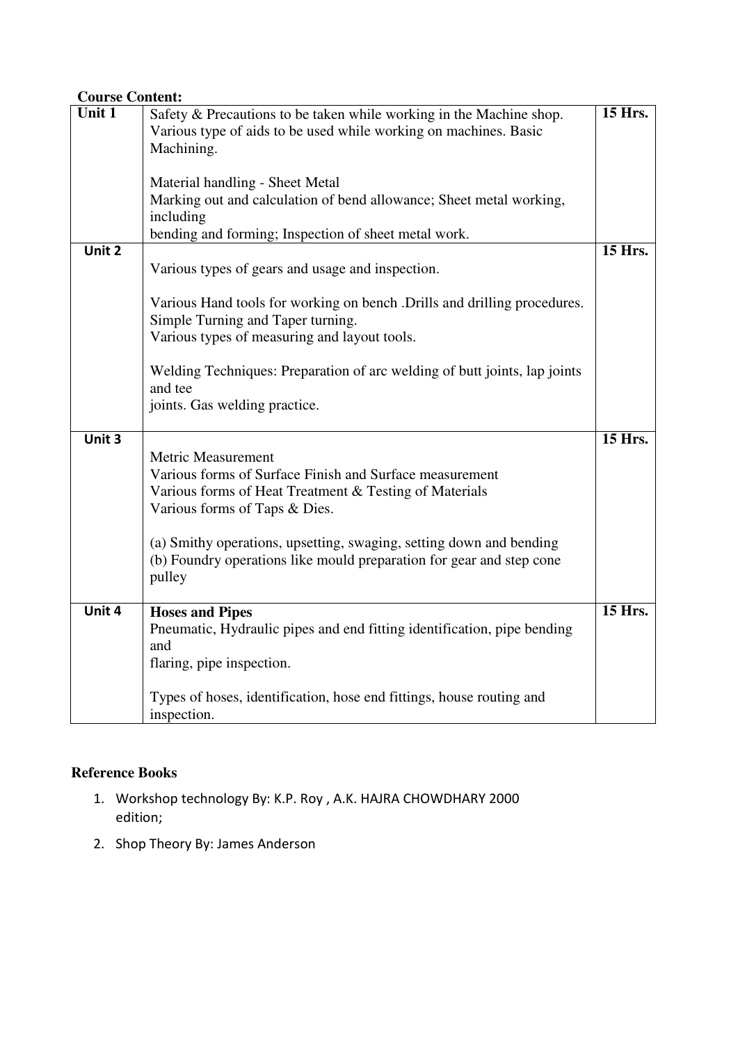| <b>Course Content:</b> |                                                                                                                                                                                                                                                                                                                                          |         |
|------------------------|------------------------------------------------------------------------------------------------------------------------------------------------------------------------------------------------------------------------------------------------------------------------------------------------------------------------------------------|---------|
| Unit 1                 | Safety & Precautions to be taken while working in the Machine shop.<br>Various type of aids to be used while working on machines. Basic                                                                                                                                                                                                  | 15 Hrs. |
|                        | Machining.                                                                                                                                                                                                                                                                                                                               |         |
|                        | Material handling - Sheet Metal                                                                                                                                                                                                                                                                                                          |         |
|                        | Marking out and calculation of bend allowance; Sheet metal working,<br>including                                                                                                                                                                                                                                                         |         |
|                        | bending and forming; Inspection of sheet metal work.                                                                                                                                                                                                                                                                                     |         |
| Unit 2                 | Various types of gears and usage and inspection.                                                                                                                                                                                                                                                                                         | 15 Hrs. |
|                        | Various Hand tools for working on bench . Drills and drilling procedures.<br>Simple Turning and Taper turning.<br>Various types of measuring and layout tools.                                                                                                                                                                           |         |
|                        | Welding Techniques: Preparation of arc welding of butt joints, lap joints<br>and tee<br>joints. Gas welding practice.                                                                                                                                                                                                                    |         |
| Unit $3$               | <b>Metric Measurement</b><br>Various forms of Surface Finish and Surface measurement<br>Various forms of Heat Treatment & Testing of Materials<br>Various forms of Taps & Dies.<br>(a) Smithy operations, upsetting, swaging, setting down and bending<br>(b) Foundry operations like mould preparation for gear and step cone<br>pulley | 15 Hrs. |
| Unit 4                 | <b>Hoses and Pipes</b><br>Pneumatic, Hydraulic pipes and end fitting identification, pipe bending<br>and<br>flaring, pipe inspection.                                                                                                                                                                                                    | 15 Hrs. |
|                        | Types of hoses, identification, hose end fittings, house routing and<br>inspection.                                                                                                                                                                                                                                                      |         |

# **Reference Books**

- 1. Workshop technology By: K.P. Roy , A.K. HAJRA CHOWDHARY 2000 edition;
- 2. Shop Theory By: James Anderson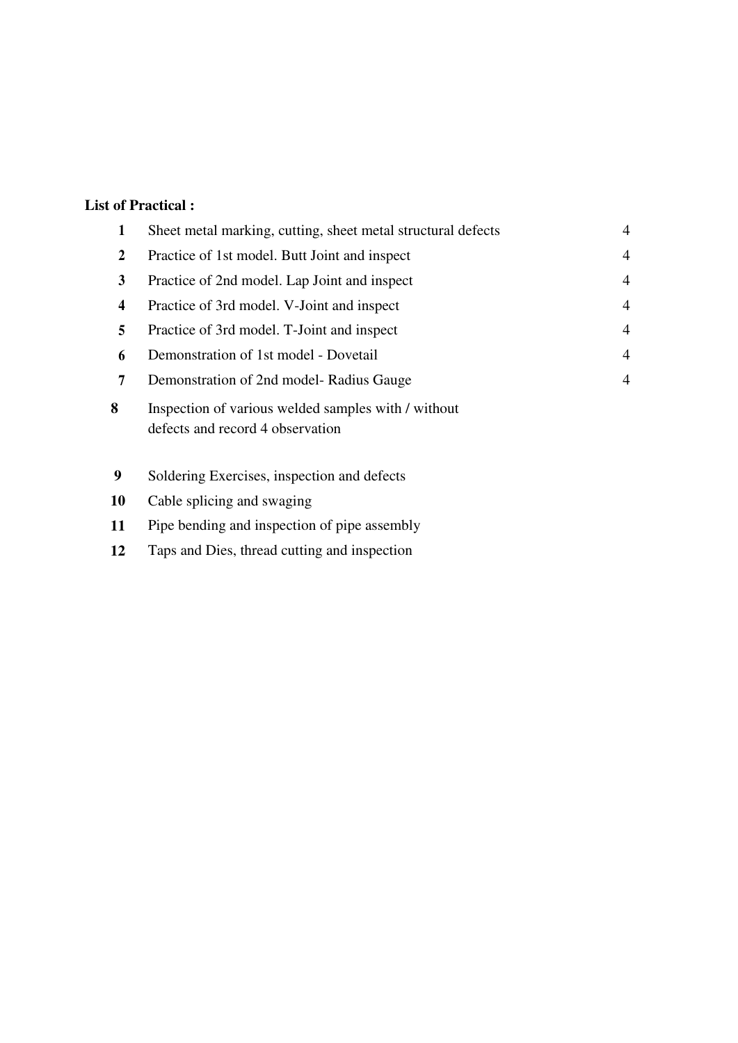## **List of Practical :**

| 1 | Sheet metal marking, cutting, sheet metal structural defects                            | $\overline{4}$ |
|---|-----------------------------------------------------------------------------------------|----------------|
| 2 | Practice of 1st model. Butt Joint and inspect                                           | 4              |
| 3 | Practice of 2nd model. Lap Joint and inspect                                            | $\overline{4}$ |
| 4 | Practice of 3rd model. V-Joint and inspect                                              | $\overline{4}$ |
| 5 | Practice of 3rd model. T-Joint and inspect                                              | 4              |
| 6 | Demonstration of 1st model - Dovetail                                                   | $\overline{4}$ |
| 7 | Demonstration of 2nd model-Radius Gauge                                                 | 4              |
| 8 | Inspection of various welded samples with / without<br>defects and record 4 observation |                |
| 9 | Soldering Exercises, inspection and defects                                             |                |
|   |                                                                                         |                |

- Cable splicing and swaging
- Pipe bending and inspection of pipe assembly
- Taps and Dies, thread cutting and inspection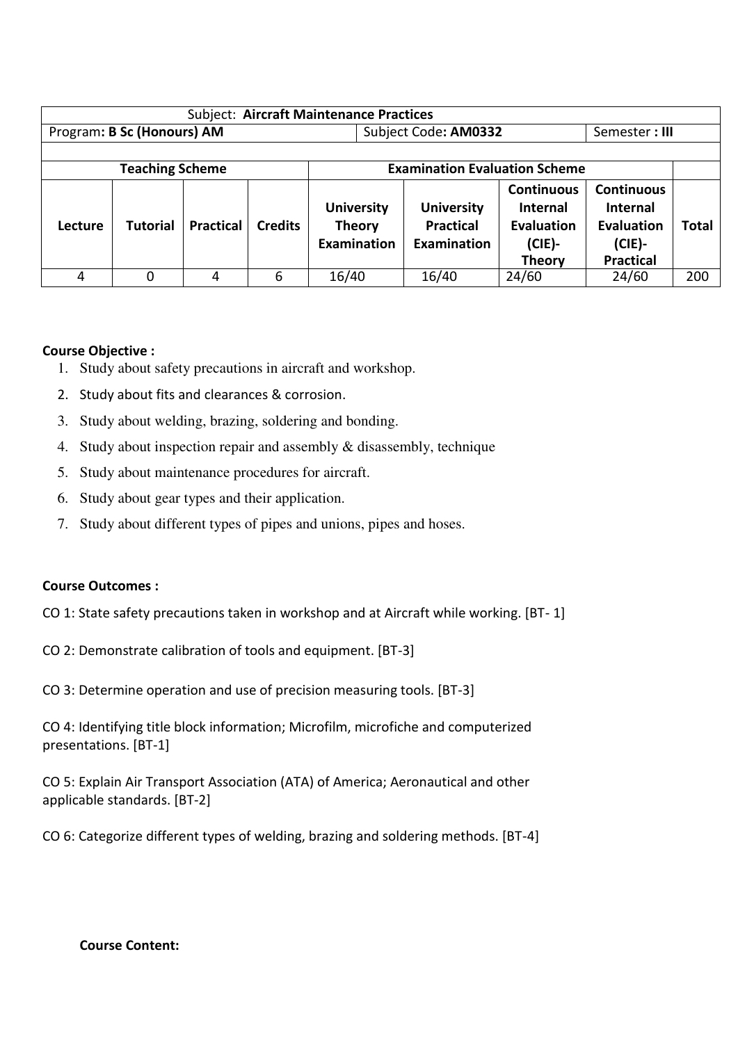| <b>Subject: Aircraft Maintenance Practices</b> |                                                                |                  |                |                                                          |                                                             |                                                                                         |                                                                                            |              |  |
|------------------------------------------------|----------------------------------------------------------------|------------------|----------------|----------------------------------------------------------|-------------------------------------------------------------|-----------------------------------------------------------------------------------------|--------------------------------------------------------------------------------------------|--------------|--|
| Program: B Sc (Honours) AM                     |                                                                |                  |                |                                                          | Subject Code: AM0332<br>Semester: III                       |                                                                                         |                                                                                            |              |  |
|                                                |                                                                |                  |                |                                                          |                                                             |                                                                                         |                                                                                            |              |  |
|                                                | <b>Examination Evaluation Scheme</b><br><b>Teaching Scheme</b> |                  |                |                                                          |                                                             |                                                                                         |                                                                                            |              |  |
| Lecture                                        | <b>Tutorial</b>                                                | <b>Practical</b> | <b>Credits</b> | <b>University</b><br><b>Theory</b><br><b>Examination</b> | <b>University</b><br><b>Practical</b><br><b>Examination</b> | <b>Continuous</b><br><b>Internal</b><br><b>Evaluation</b><br>$(CIE)$ -<br><b>Theory</b> | <b>Continuous</b><br><b>Internal</b><br><b>Evaluation</b><br>$(CIE)$ -<br><b>Practical</b> | <b>Total</b> |  |
| 4                                              | 0                                                              | 4                | 6              | 16/40                                                    | 16/40                                                       | 24/60                                                                                   | 24/60                                                                                      | 200          |  |

### **Course Objective :**

- 1. Study about safety precautions in aircraft and workshop.
- 2. Study about fits and clearances & corrosion.
- 3. Study about welding, brazing, soldering and bonding.
- 4. Study about inspection repair and assembly & disassembly, technique
- 5. Study about maintenance procedures for aircraft.
- 6. Study about gear types and their application.
- 7. Study about different types of pipes and unions, pipes and hoses.

#### **Course Outcomes :**

- CO 1: State safety precautions taken in workshop and at Aircraft while working. [BT- 1]
- CO 2: Demonstrate calibration of tools and equipment. [BT-3]
- CO 3: Determine operation and use of precision measuring tools. [BT-3]

CO 4: Identifying title block information; Microfilm, microfiche and computerized presentations. [BT-1]

CO 5: Explain Air Transport Association (ATA) of America; Aeronautical and other applicable standards. [BT-2]

CO 6: Categorize different types of welding, brazing and soldering methods. [BT-4]

#### **Course Content:**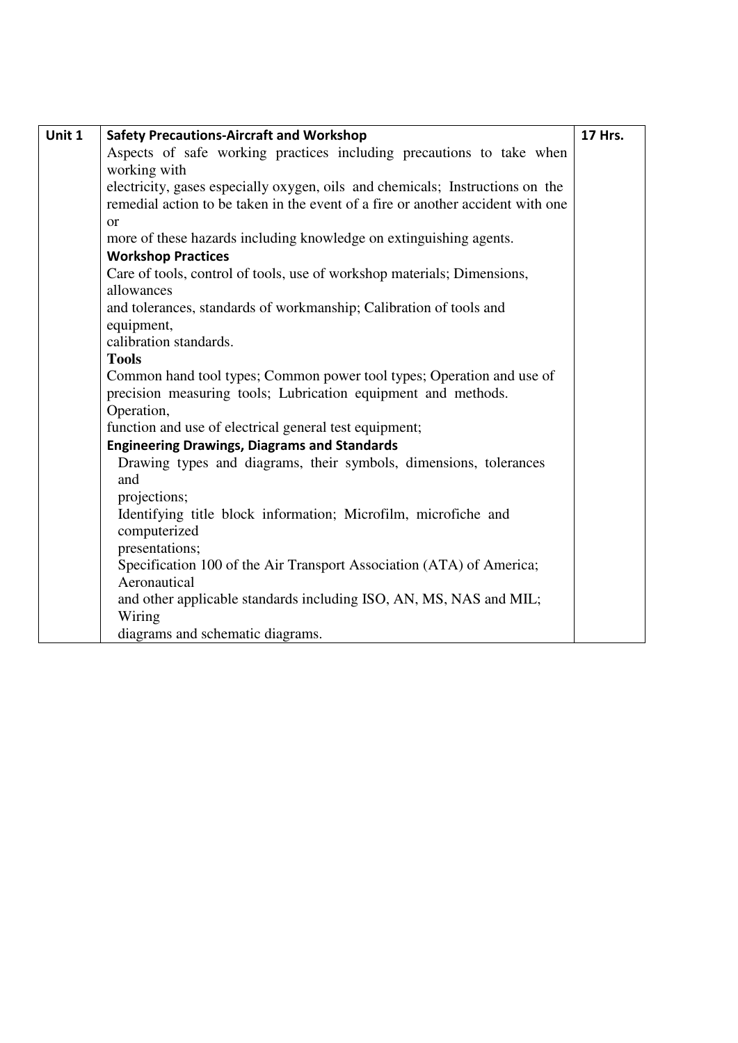| Unit 1 | <b>Safety Precautions-Aircraft and Workshop</b>                                 | <b>17 Hrs.</b> |
|--------|---------------------------------------------------------------------------------|----------------|
|        | Aspects of safe working practices including precautions to take when            |                |
|        | working with                                                                    |                |
|        | electricity, gases especially oxygen, oils and chemicals; Instructions on the   |                |
|        | remedial action to be taken in the event of a fire or another accident with one |                |
|        | <sub>or</sub>                                                                   |                |
|        | more of these hazards including knowledge on extinguishing agents.              |                |
|        | <b>Workshop Practices</b>                                                       |                |
|        | Care of tools, control of tools, use of workshop materials; Dimensions,         |                |
|        | allowances                                                                      |                |
|        | and tolerances, standards of workmanship; Calibration of tools and              |                |
|        | equipment,                                                                      |                |
|        | calibration standards.                                                          |                |
|        | <b>Tools</b>                                                                    |                |
|        | Common hand tool types; Common power tool types; Operation and use of           |                |
|        | precision measuring tools; Lubrication equipment and methods.                   |                |
|        | Operation,                                                                      |                |
|        | function and use of electrical general test equipment;                          |                |
|        | <b>Engineering Drawings, Diagrams and Standards</b>                             |                |
|        | Drawing types and diagrams, their symbols, dimensions, tolerances<br>and        |                |
|        | projections;                                                                    |                |
|        | Identifying title block information; Microfilm, microfiche and<br>computerized  |                |
|        | presentations;                                                                  |                |
|        | Specification 100 of the Air Transport Association (ATA) of America;            |                |
|        | Aeronautical                                                                    |                |
|        | and other applicable standards including ISO, AN, MS, NAS and MIL;              |                |
|        | Wiring                                                                          |                |
|        | diagrams and schematic diagrams.                                                |                |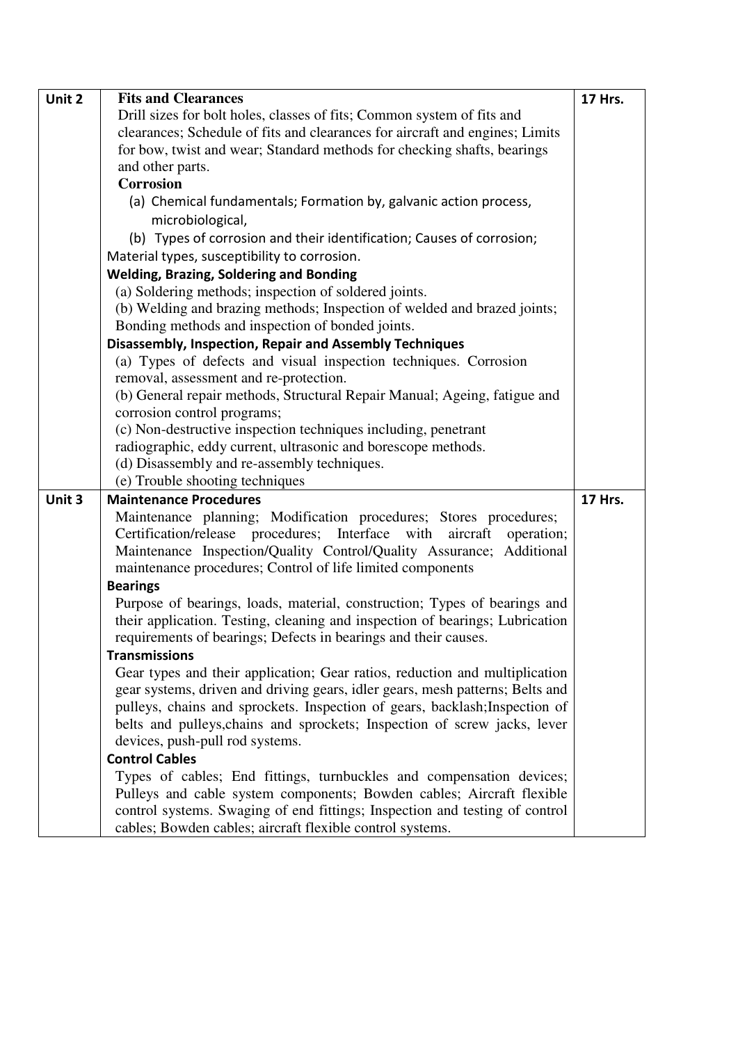| Unit 2 | <b>Fits and Clearances</b>                                                                                                               | <b>17 Hrs.</b> |
|--------|------------------------------------------------------------------------------------------------------------------------------------------|----------------|
|        | Drill sizes for bolt holes, classes of fits; Common system of fits and                                                                   |                |
|        | clearances; Schedule of fits and clearances for aircraft and engines; Limits                                                             |                |
|        | for bow, twist and wear; Standard methods for checking shafts, bearings                                                                  |                |
|        | and other parts.                                                                                                                         |                |
|        | <b>Corrosion</b>                                                                                                                         |                |
|        | (a) Chemical fundamentals; Formation by, galvanic action process,                                                                        |                |
|        | microbiological,                                                                                                                         |                |
|        | (b) Types of corrosion and their identification; Causes of corrosion;                                                                    |                |
|        | Material types, susceptibility to corrosion.                                                                                             |                |
|        | <b>Welding, Brazing, Soldering and Bonding</b>                                                                                           |                |
|        | (a) Soldering methods; inspection of soldered joints.                                                                                    |                |
|        | (b) Welding and brazing methods; Inspection of welded and brazed joints;                                                                 |                |
|        | Bonding methods and inspection of bonded joints.                                                                                         |                |
|        | Disassembly, Inspection, Repair and Assembly Techniques                                                                                  |                |
|        | (a) Types of defects and visual inspection techniques. Corrosion                                                                         |                |
|        | removal, assessment and re-protection.                                                                                                   |                |
|        | (b) General repair methods, Structural Repair Manual; Ageing, fatigue and                                                                |                |
|        | corrosion control programs;                                                                                                              |                |
|        | (c) Non-destructive inspection techniques including, penetrant                                                                           |                |
|        | radiographic, eddy current, ultrasonic and borescope methods.                                                                            |                |
|        | (d) Disassembly and re-assembly techniques.                                                                                              |                |
|        |                                                                                                                                          |                |
|        | (e) Trouble shooting techniques                                                                                                          |                |
| Unit 3 | <b>Maintenance Procedures</b>                                                                                                            | <b>17 Hrs.</b> |
|        | Maintenance planning; Modification procedures; Stores procedures;                                                                        |                |
|        | Certification/release procedures; Interface with aircraft<br>operation;                                                                  |                |
|        | Maintenance Inspection/Quality Control/Quality Assurance; Additional                                                                     |                |
|        | maintenance procedures; Control of life limited components                                                                               |                |
|        | <b>Bearings</b>                                                                                                                          |                |
|        | Purpose of bearings, loads, material, construction; Types of bearings and                                                                |                |
|        | their application. Testing, cleaning and inspection of bearings; Lubrication                                                             |                |
|        | requirements of bearings; Defects in bearings and their causes.                                                                          |                |
|        | <b>Transmissions</b>                                                                                                                     |                |
|        | Gear types and their application; Gear ratios, reduction and multiplication                                                              |                |
|        | gear systems, driven and driving gears, idler gears, mesh patterns; Belts and                                                            |                |
|        | pulleys, chains and sprockets. Inspection of gears, backlash; Inspection of                                                              |                |
|        | belts and pulleys, chains and sprockets; Inspection of screw jacks, lever                                                                |                |
|        | devices, push-pull rod systems.                                                                                                          |                |
|        | <b>Control Cables</b>                                                                                                                    |                |
|        | Types of cables; End fittings, turnbuckles and compensation devices;                                                                     |                |
|        | Pulleys and cable system components; Bowden cables; Aircraft flexible                                                                    |                |
|        | control systems. Swaging of end fittings; Inspection and testing of control<br>cables; Bowden cables; aircraft flexible control systems. |                |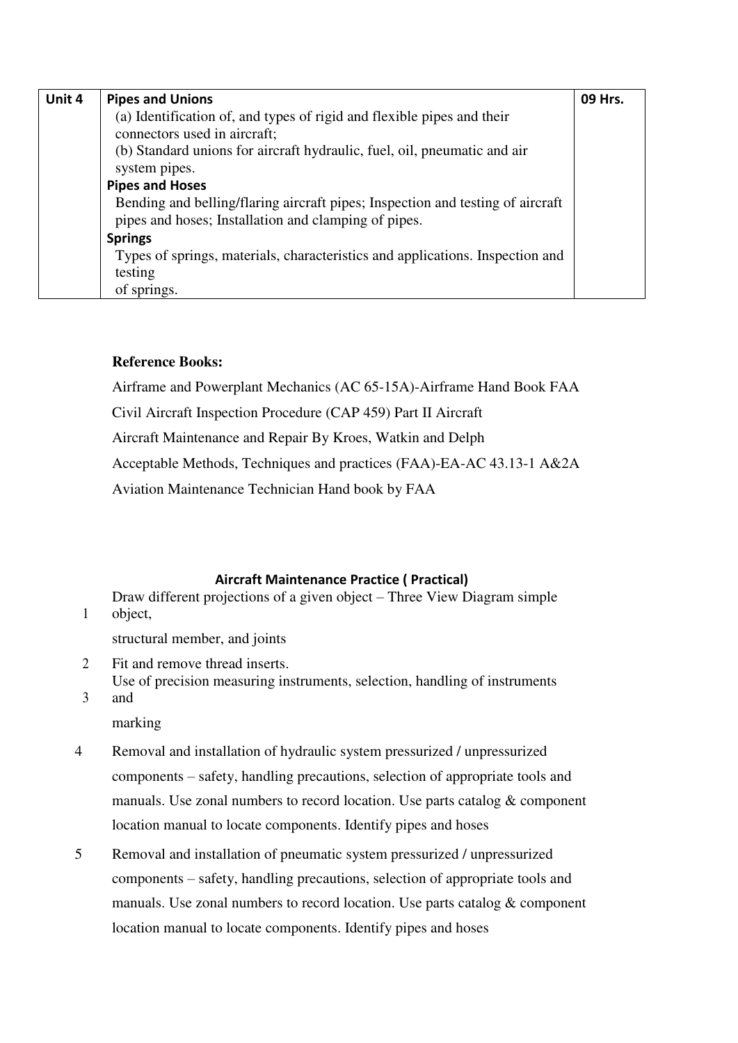| Unit 4 | <b>Pipes and Unions</b>                                                                                                                | 09 Hrs. |
|--------|----------------------------------------------------------------------------------------------------------------------------------------|---------|
|        | (a) Identification of, and types of rigid and flexible pipes and their<br>connectors used in aircraft;                                 |         |
|        | (b) Standard unions for aircraft hydraulic, fuel, oil, pneumatic and air<br>system pipes.                                              |         |
|        | <b>Pipes and Hoses</b>                                                                                                                 |         |
|        | Bending and belling/flaring aircraft pipes; Inspection and testing of aircraft<br>pipes and hoses; Installation and clamping of pipes. |         |
|        | <b>Springs</b>                                                                                                                         |         |
|        | Types of springs, materials, characteristics and applications. Inspection and                                                          |         |
|        | testing                                                                                                                                |         |
|        | of springs.                                                                                                                            |         |

### **Reference Books:**

Airframe and Powerplant Mechanics (AC 65-15A)-Airframe Hand Book FAA Civil Aircraft Inspection Procedure (CAP 459) Part II Aircraft Aircraft Maintenance and Repair By Kroes, Watkin and Delph Acceptable Methods, Techniques and practices (FAA)-EA-AC 43.13-1 A&2A Aviation Maintenance Technician Hand book by FAA

#### **Aircraft Maintenance Practice ( Practical)**

Draw different projections of a given object – Three View Diagram simple object,

structural member, and joints

- 2 Fit and remove thread inserts. Use of precision measuring instruments, selection, handling of instruments
- 3 and marking

1

4 Removal and installation of hydraulic system pressurized / unpressurized components – safety, handling precautions, selection of appropriate tools and manuals. Use zonal numbers to record location. Use parts catalog & component location manual to locate components. Identify pipes and hoses

5 Removal and installation of pneumatic system pressurized / unpressurized components – safety, handling precautions, selection of appropriate tools and manuals. Use zonal numbers to record location. Use parts catalog  $\&$  component location manual to locate components. Identify pipes and hoses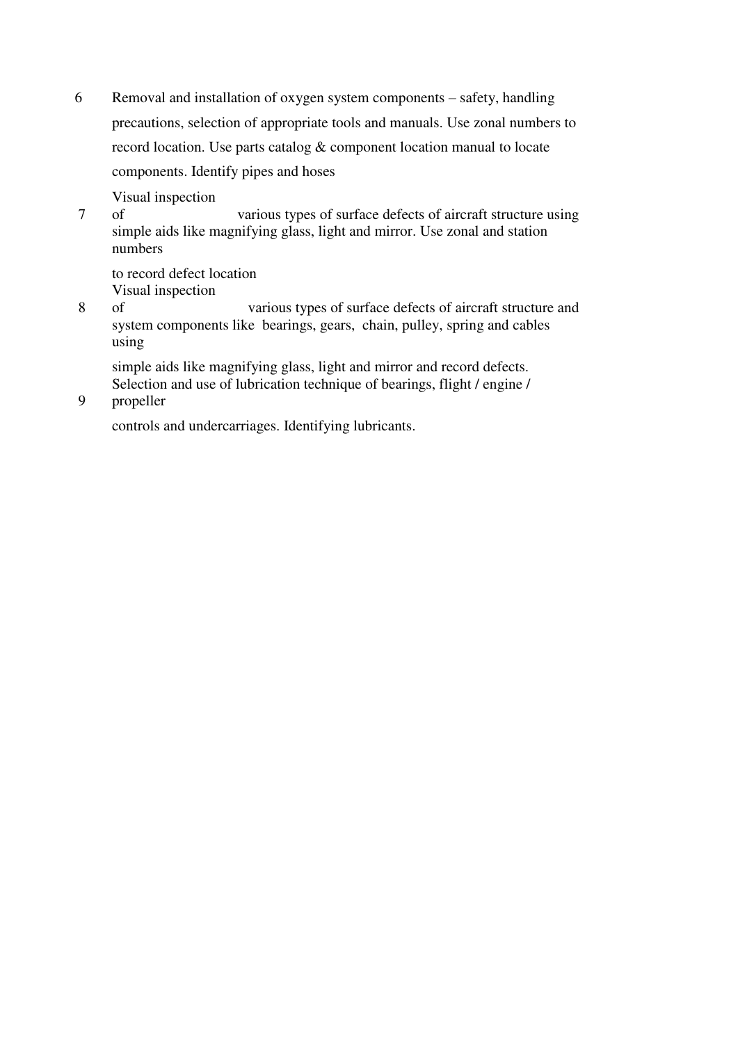6 Removal and installation of oxygen system components – safety, handling precautions, selection of appropriate tools and manuals. Use zonal numbers to record location. Use parts catalog & component location manual to locate components. Identify pipes and hoses

Visual inspection

7 of various types of surface defects of aircraft structure using simple aids like magnifying glass, light and mirror. Use zonal and station numbers

to record defect location Visual inspection

8 of various types of surface defects of aircraft structure and system components like bearings, gears, chain, pulley, spring and cables using

simple aids like magnifying glass, light and mirror and record defects. Selection and use of lubrication technique of bearings, flight / engine /

9 propeller

controls and undercarriages. Identifying lubricants.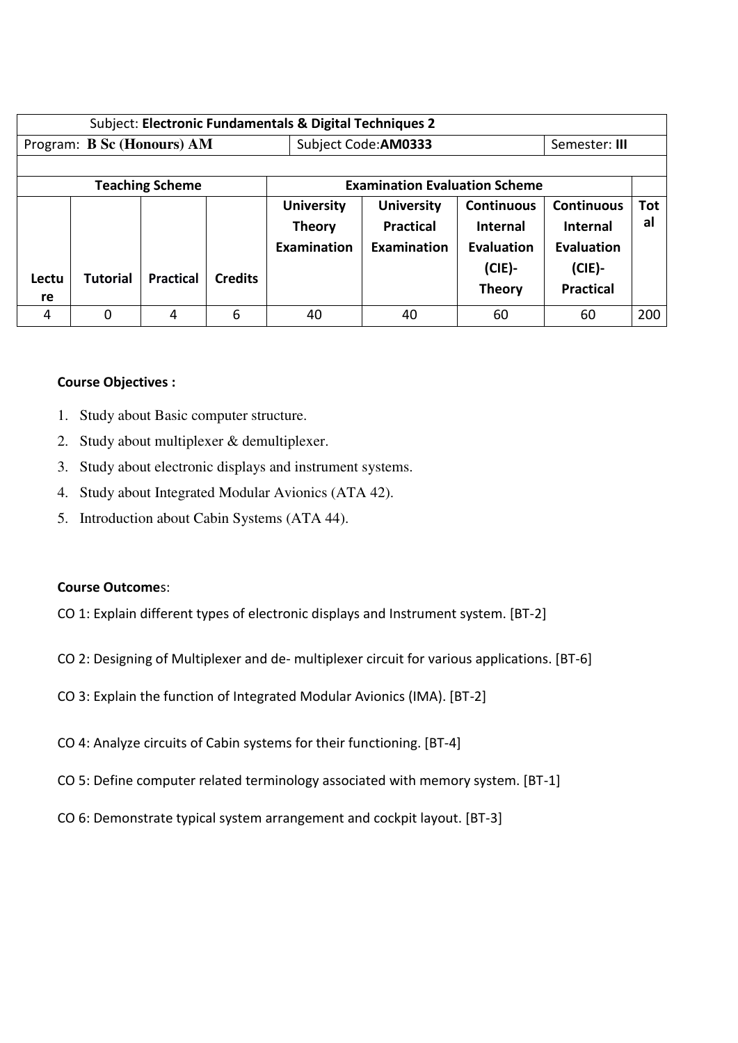| Subject: Electronic Fundamentals & Digital Techniques 2 |                 |                        |                |                                                          |                                                      |                                                                                  |                                                                                     |                  |
|---------------------------------------------------------|-----------------|------------------------|----------------|----------------------------------------------------------|------------------------------------------------------|----------------------------------------------------------------------------------|-------------------------------------------------------------------------------------|------------------|
| Program: B Sc (Honours) AM                              |                 |                        |                |                                                          | Subject Code: AM0333<br>Semester: III                |                                                                                  |                                                                                     |                  |
|                                                         |                 |                        |                |                                                          |                                                      |                                                                                  |                                                                                     |                  |
|                                                         |                 | <b>Teaching Scheme</b> |                |                                                          | <b>Examination Evaluation Scheme</b>                 |                                                                                  |                                                                                     |                  |
| Lectu<br>re                                             | <b>Tutorial</b> | <b>Practical</b>       | <b>Credits</b> | <b>University</b><br><b>Theory</b><br><b>Examination</b> | <b>University</b><br><b>Practical</b><br>Examination | <b>Continuous</b><br><b>Internal</b><br>Evaluation<br>$(CIE)$ -<br><b>Theory</b> | <b>Continuous</b><br><b>Internal</b><br>Evaluation<br>$(CIE)$ -<br><b>Practical</b> | <b>Tot</b><br>al |
| 4                                                       | 0               | 4                      | 6              | 40                                                       | 40                                                   | 60                                                                               | 60                                                                                  | 200              |

### **Course Objectives :**

- 1. Study about Basic computer structure.
- 2. Study about multiplexer & demultiplexer.
- 3. Study about electronic displays and instrument systems.
- 4. Study about Integrated Modular Avionics (ATA 42).
- 5. Introduction about Cabin Systems (ATA 44).

#### **Course Outcome**s:

- CO 1: Explain different types of electronic displays and Instrument system. [BT-2]
- CO 2: Designing of Multiplexer and de- multiplexer circuit for various applications. [BT-6]
- CO 3: Explain the function of Integrated Modular Avionics (IMA). [BT-2]
- CO 4: Analyze circuits of Cabin systems for their functioning. [BT-4]
- CO 5: Define computer related terminology associated with memory system. [BT-1]
- CO 6: Demonstrate typical system arrangement and cockpit layout. [BT-3]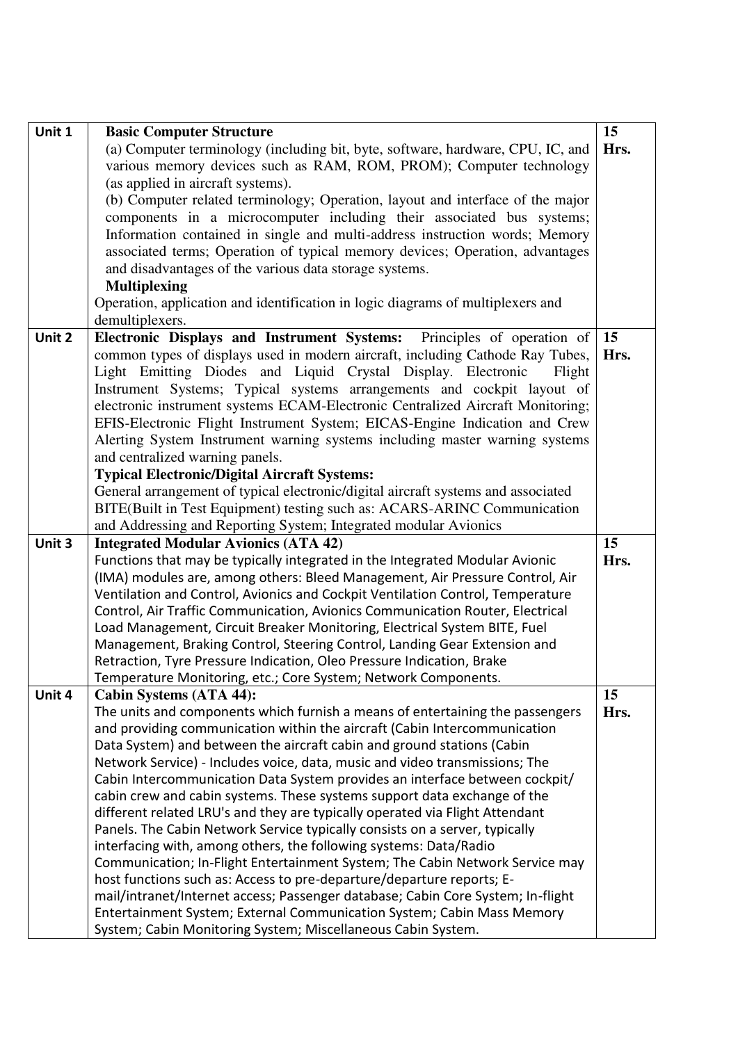| Unit 1 | <b>Basic Computer Structure</b>                                                                                                                       | 15   |
|--------|-------------------------------------------------------------------------------------------------------------------------------------------------------|------|
|        | (a) Computer terminology (including bit, byte, software, hardware, CPU, IC, and                                                                       | Hrs. |
|        | various memory devices such as RAM, ROM, PROM); Computer technology                                                                                   |      |
|        | (as applied in aircraft systems).                                                                                                                     |      |
|        | (b) Computer related terminology; Operation, layout and interface of the major                                                                        |      |
|        | components in a microcomputer including their associated bus systems;                                                                                 |      |
|        | Information contained in single and multi-address instruction words; Memory                                                                           |      |
|        | associated terms; Operation of typical memory devices; Operation, advantages                                                                          |      |
|        | and disadvantages of the various data storage systems.                                                                                                |      |
|        | <b>Multiplexing</b>                                                                                                                                   |      |
|        | Operation, application and identification in logic diagrams of multiplexers and                                                                       |      |
|        | demultiplexers.                                                                                                                                       |      |
| Unit 2 | Electronic Displays and Instrument Systems: Principles of operation of                                                                                | 15   |
|        | common types of displays used in modern aircraft, including Cathode Ray Tubes,                                                                        | Hrs. |
|        | Light Emitting Diodes and Liquid Crystal Display. Electronic<br>Flight                                                                                |      |
|        | Instrument Systems; Typical systems arrangements and cockpit layout of                                                                                |      |
|        | electronic instrument systems ECAM-Electronic Centralized Aircraft Monitoring;                                                                        |      |
|        | EFIS-Electronic Flight Instrument System; EICAS-Engine Indication and Crew                                                                            |      |
|        | Alerting System Instrument warning systems including master warning systems                                                                           |      |
|        | and centralized warning panels.                                                                                                                       |      |
|        | <b>Typical Electronic/Digital Aircraft Systems:</b>                                                                                                   |      |
|        | General arrangement of typical electronic/digital aircraft systems and associated                                                                     |      |
|        | BITE(Built in Test Equipment) testing such as: ACARS-ARINC Communication                                                                              |      |
|        | and Addressing and Reporting System; Integrated modular Avionics                                                                                      |      |
|        |                                                                                                                                                       |      |
| Unit 3 | <b>Integrated Modular Avionics (ATA 42)</b>                                                                                                           | 15   |
|        | Functions that may be typically integrated in the Integrated Modular Avionic                                                                          | Hrs. |
|        | (IMA) modules are, among others: Bleed Management, Air Pressure Control, Air                                                                          |      |
|        | Ventilation and Control, Avionics and Cockpit Ventilation Control, Temperature                                                                        |      |
|        | Control, Air Traffic Communication, Avionics Communication Router, Electrical                                                                         |      |
|        | Load Management, Circuit Breaker Monitoring, Electrical System BITE, Fuel                                                                             |      |
|        | Management, Braking Control, Steering Control, Landing Gear Extension and                                                                             |      |
|        | Retraction, Tyre Pressure Indication, Oleo Pressure Indication, Brake                                                                                 |      |
|        | Temperature Monitoring, etc.; Core System; Network Components.                                                                                        |      |
| Unit 4 | Cabin Systems (ATA 44):                                                                                                                               | 15   |
|        | The units and components which furnish a means of entertaining the passengers                                                                         | Hrs. |
|        | and providing communication within the aircraft (Cabin Intercommunication                                                                             |      |
|        | Data System) and between the aircraft cabin and ground stations (Cabin                                                                                |      |
|        | Network Service) - Includes voice, data, music and video transmissions; The                                                                           |      |
|        | Cabin Intercommunication Data System provides an interface between cockpit/                                                                           |      |
|        | cabin crew and cabin systems. These systems support data exchange of the                                                                              |      |
|        | different related LRU's and they are typically operated via Flight Attendant                                                                          |      |
|        | Panels. The Cabin Network Service typically consists on a server, typically                                                                           |      |
|        | interfacing with, among others, the following systems: Data/Radio                                                                                     |      |
|        | Communication; In-Flight Entertainment System; The Cabin Network Service may<br>host functions such as: Access to pre-departure/departure reports; E- |      |
|        | mail/intranet/Internet access; Passenger database; Cabin Core System; In-flight                                                                       |      |
|        | Entertainment System; External Communication System; Cabin Mass Memory                                                                                |      |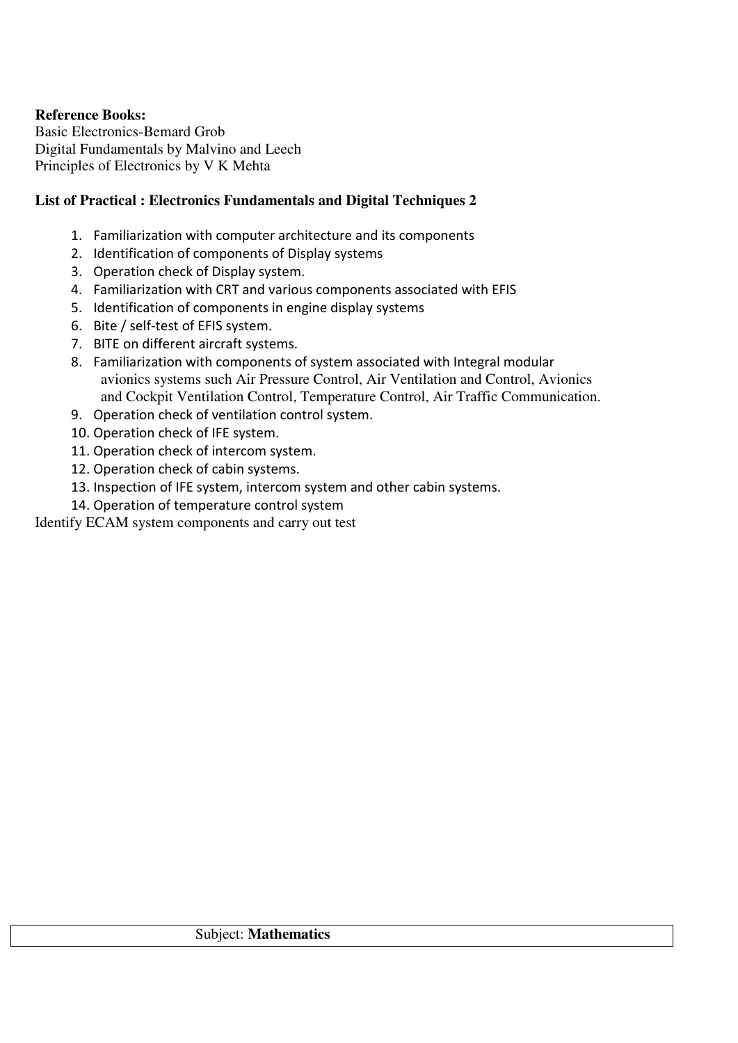### **Reference Books:**

Basic Electronics-Bemard Grob Digital Fundamentals by Malvino and Leech Principles of Electronics by V K Mehta

## **List of Practical : Electronics Fundamentals and Digital Techniques 2**

- 1. Familiarization with computer architecture and its components
- 2. Identification of components of Display systems
- 3. Operation check of Display system.
- 4. Familiarization with CRT and various components associated with EFIS
- 5. Identification of components in engine display systems
- 6. Bite / self-test of EFIS system.
- 7. BITE on different aircraft systems.
- 8. Familiarization with components of system associated with Integral modular avionics systems such Air Pressure Control, Air Ventilation and Control, Avionics and Cockpit Ventilation Control, Temperature Control, Air Traffic Communication.
- 9. Operation check of ventilation control system.
- 10. Operation check of IFE system.
- 11. Operation check of intercom system.
- 12. Operation check of cabin systems.
- 13. Inspection of IFE system, intercom system and other cabin systems.
- 14. Operation of temperature control system

Identify ECAM system components and carry out test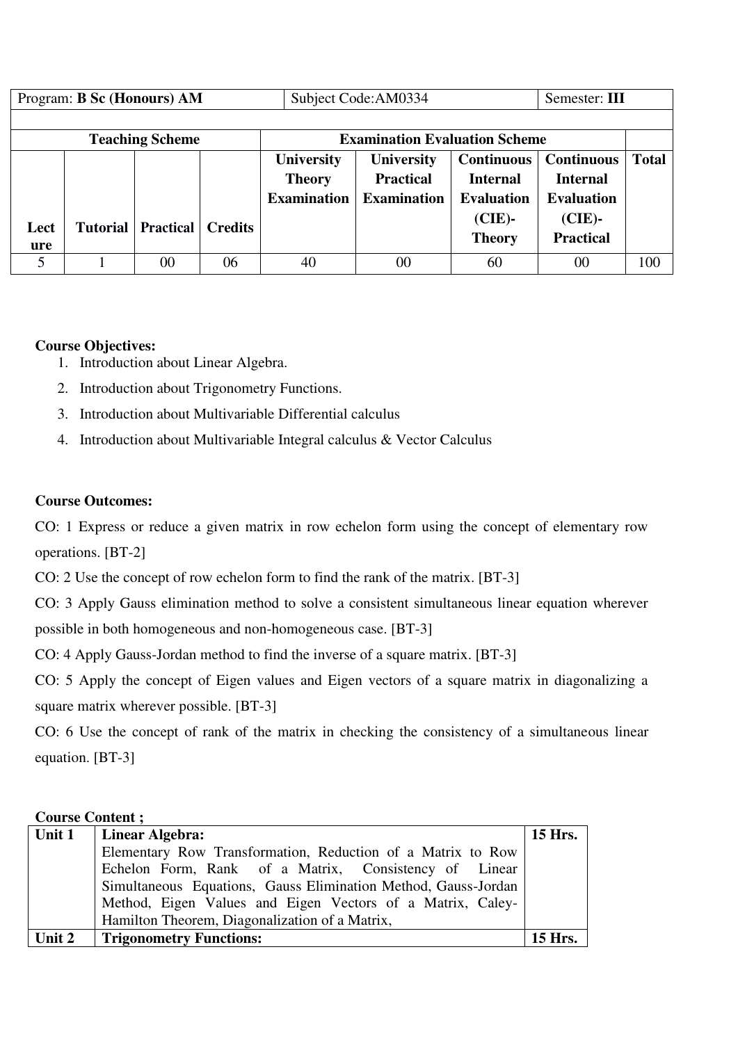| Program: <b>B Sc (Honours) AM</b>                              |  |                             |                | Subject Code: AM0334 | Semester: III      |                   |                   |              |  |
|----------------------------------------------------------------|--|-----------------------------|----------------|----------------------|--------------------|-------------------|-------------------|--------------|--|
|                                                                |  |                             |                |                      |                    |                   |                   |              |  |
| <b>Examination Evaluation Scheme</b><br><b>Teaching Scheme</b> |  |                             |                |                      |                    |                   |                   |              |  |
|                                                                |  |                             |                | <b>University</b>    | <b>University</b>  | <b>Continuous</b> | <b>Continuous</b> | <b>Total</b> |  |
|                                                                |  |                             |                | <b>Theory</b>        | <b>Practical</b>   | <b>Internal</b>   | <b>Internal</b>   |              |  |
|                                                                |  |                             |                | <b>Examination</b>   | <b>Examination</b> | <b>Evaluation</b> | <b>Evaluation</b> |              |  |
| Lect                                                           |  | <b>Tutorial   Practical</b> | <b>Credits</b> |                      |                    | $(CIE)$ -         | $(CIE)$ -         |              |  |
| ure                                                            |  |                             |                |                      |                    | <b>Theory</b>     | <b>Practical</b>  |              |  |
| 5                                                              |  | 00                          | 06             | 40                   | 00                 | 60                | 00                | 100          |  |

### **Course Objectives:**

- 1. Introduction about Linear Algebra.
- 2. Introduction about Trigonometry Functions.
- 3. Introduction about Multivariable Differential calculus
- 4. Introduction about Multivariable Integral calculus & Vector Calculus

### **Course Outcomes:**

CO: 1 Express or reduce a given matrix in row echelon form using the concept of elementary row operations. [BT-2]

CO: 2 Use the concept of row echelon form to find the rank of the matrix. [BT-3]

CO: 3 Apply Gauss elimination method to solve a consistent simultaneous linear equation wherever possible in both homogeneous and non-homogeneous case. [BT-3]

CO: 4 Apply Gauss-Jordan method to find the inverse of a square matrix. [BT-3]

CO: 5 Apply the concept of Eigen values and Eigen vectors of a square matrix in diagonalizing a square matrix wherever possible. [BT-3]

CO: 6 Use the concept of rank of the matrix in checking the consistency of a simultaneous linear equation. [BT-3]

### **Course Content ;**

| Unit 1 | <b>Linear Algebra:</b>                                         | <b>15 Hrs.</b> |
|--------|----------------------------------------------------------------|----------------|
|        | Elementary Row Transformation, Reduction of a Matrix to Row    |                |
|        | Echelon Form, Rank of a Matrix, Consistency of Linear          |                |
|        | Simultaneous Equations, Gauss Elimination Method, Gauss-Jordan |                |
|        | Method, Eigen Values and Eigen Vectors of a Matrix, Caley-     |                |
|        | Hamilton Theorem, Diagonalization of a Matrix,                 |                |
| Unit 2 | <b>Trigonometry Functions:</b>                                 | 15 Hrs.        |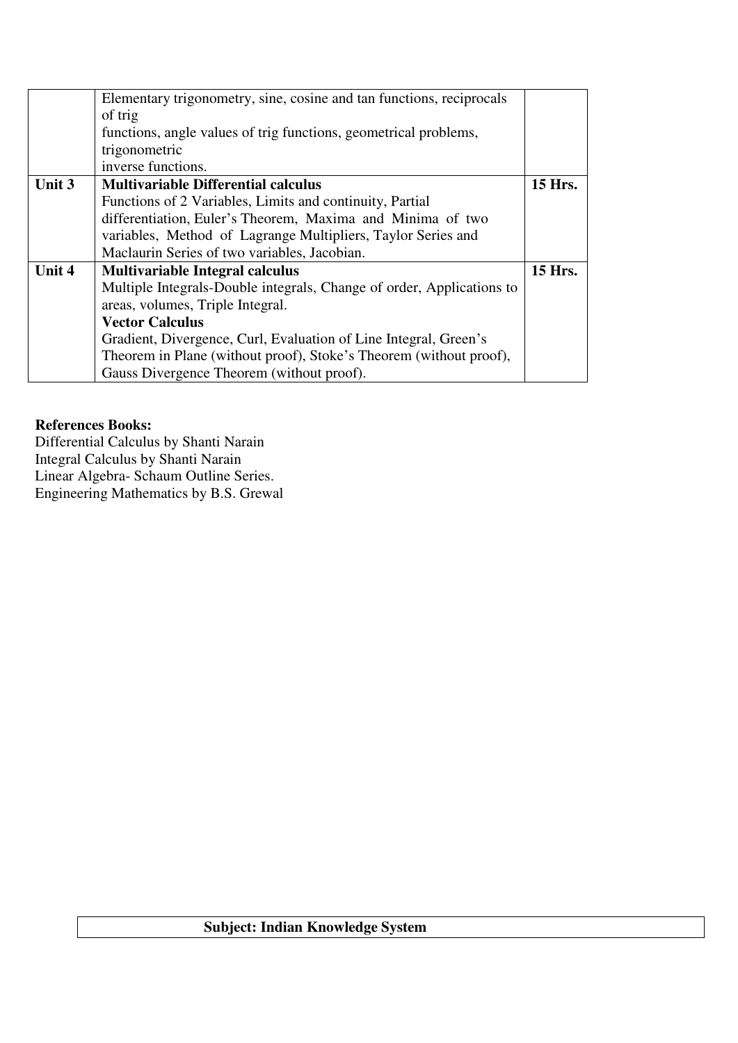|        | Elementary trigonometry, sine, cosine and tan functions, reciprocals  |  |  |  |  |  |  |
|--------|-----------------------------------------------------------------------|--|--|--|--|--|--|
|        | of trig                                                               |  |  |  |  |  |  |
|        | functions, angle values of trig functions, geometrical problems,      |  |  |  |  |  |  |
|        | trigonometric                                                         |  |  |  |  |  |  |
|        | inverse functions.                                                    |  |  |  |  |  |  |
| Unit 3 | <b>Multivariable Differential calculus</b>                            |  |  |  |  |  |  |
|        | Functions of 2 Variables, Limits and continuity, Partial              |  |  |  |  |  |  |
|        | differentiation, Euler's Theorem, Maxima and Minima of two            |  |  |  |  |  |  |
|        | variables, Method of Lagrange Multipliers, Taylor Series and          |  |  |  |  |  |  |
|        | Maclaurin Series of two variables, Jacobian.                          |  |  |  |  |  |  |
| Unit 4 | <b>Multivariable Integral calculus</b>                                |  |  |  |  |  |  |
|        | Multiple Integrals-Double integrals, Change of order, Applications to |  |  |  |  |  |  |
|        | areas, volumes, Triple Integral.                                      |  |  |  |  |  |  |
|        | <b>Vector Calculus</b>                                                |  |  |  |  |  |  |
|        | Gradient, Divergence, Curl, Evaluation of Line Integral, Green's      |  |  |  |  |  |  |
|        | Theorem in Plane (without proof), Stoke's Theorem (without proof),    |  |  |  |  |  |  |
|        | Gauss Divergence Theorem (without proof).                             |  |  |  |  |  |  |

### **References Books:**

Differential Calculus by Shanti Narain Integral Calculus by Shanti Narain Linear Algebra- Schaum Outline Series. Engineering Mathematics by B.S. Grewal